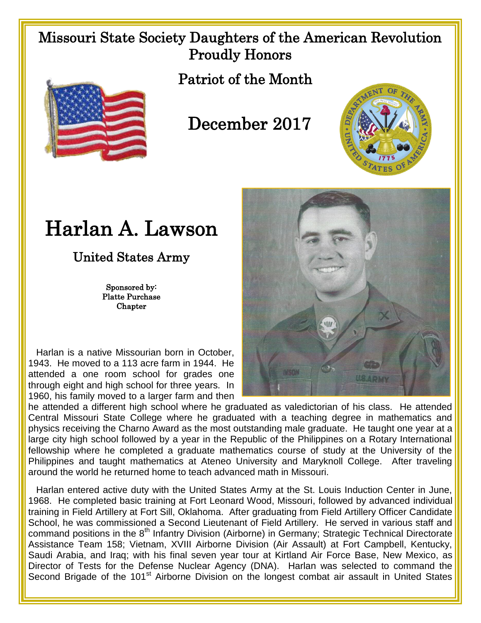## Missouri State Society Daughters of the American Revolution Proudly Honors



Patriot of the Month

## December 2017



## Harlan A. Lawson

United States Army

Sponsored by: Platte Purchase **Chapter** 

 Harlan is a native Missourian born in October, 1943. He moved to a 113 acre farm in 1944. He attended a one room school for grades one through eight and high school for three years. In 1960, his family moved to a larger farm and then



he attended a different high school where he graduated as valedictorian of his class. He attended Central Missouri State College where he graduated with a teaching degree in mathematics and physics receiving the Charno Award as the most outstanding male graduate. He taught one year at a large city high school followed by a year in the Republic of the Philippines on a Rotary International fellowship where he completed a graduate mathematics course of study at the University of the Philippines and taught mathematics at Ateneo University and Maryknoll College. After traveling around the world he returned home to teach advanced math in Missouri.

 Harlan entered active duty with the United States Army at the St. Louis Induction Center in June, 1968. He completed basic training at Fort Leonard Wood, Missouri, followed by advanced individual training in Field Artillery at Fort Sill, Oklahoma. After graduating from Field Artillery Officer Candidate School, he was commissioned a Second Lieutenant of Field Artillery. He served in various staff and command positions in the 8<sup>th</sup> Infantry Division (Airborne) in Germany; Strategic Technical Directorate Assistance Team 158; Vietnam, XVIII Airborne Division (Air Assault) at Fort Campbell, Kentucky, Saudi Arabia, and Iraq; with his final seven year tour at Kirtland Air Force Base, New Mexico, as Director of Tests for the Defense Nuclear Agency (DNA). Harlan was selected to command the Second Brigade of the 101<sup>st</sup> Airborne Division on the longest combat air assault in United States